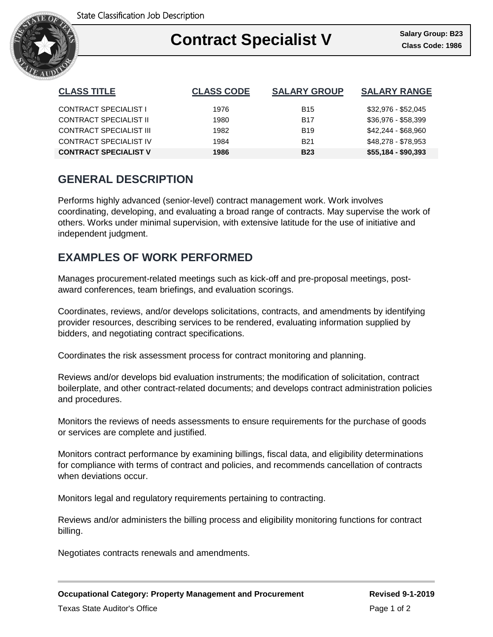

| <b>CLASS TITLE</b>            | <b>CLASS CODE</b> | <b>SALARY GROUP</b> | <b>SALARY RANGE</b> |
|-------------------------------|-------------------|---------------------|---------------------|
| CONTRACT SPECIALIST I         | 1976              | B <sub>15</sub>     | \$32,976 - \$52,045 |
| <b>CONTRACT SPECIALIST II</b> | 1980              | <b>B17</b>          | \$36,976 - \$58,399 |
| CONTRACT SPECIALIST III       | 1982              | <b>B</b> 19         | \$42,244 - \$68,960 |
| CONTRACT SPECIALIST IV        | 1984              | <b>B21</b>          | \$48,278 - \$78,953 |
| <b>CONTRACT SPECIALIST V</b>  | 1986              | <b>B23</b>          | $$55,184 - $90,393$ |

# **GENERAL DESCRIPTION**

Performs highly advanced (senior-level) contract management work. Work involves coordinating, developing, and evaluating a broad range of contracts. May supervise the work of others. Works under minimal supervision, with extensive latitude for the use of initiative and independent judgment.

# **EXAMPLES OF WORK PERFORMED**

Manages procurement-related meetings such as kick-off and pre-proposal meetings, postaward conferences, team briefings, and evaluation scorings.

Coordinates, reviews, and/or develops solicitations, contracts, and amendments by identifying provider resources, describing services to be rendered, evaluating information supplied by bidders, and negotiating contract specifications.

Coordinates the risk assessment process for contract monitoring and planning.

Reviews and/or develops bid evaluation instruments; the modification of solicitation, contract boilerplate, and other contract-related documents; and develops contract administration policies and procedures.

Monitors the reviews of needs assessments to ensure requirements for the purchase of goods or services are complete and justified.

Monitors contract performance by examining billings, fiscal data, and eligibility determinations for compliance with terms of contract and policies, and recommends cancellation of contracts when deviations occur.

Monitors legal and regulatory requirements pertaining to contracting.

Reviews and/or administers the billing process and eligibility monitoring functions for contract billing.

Negotiates contracts renewals and amendments.